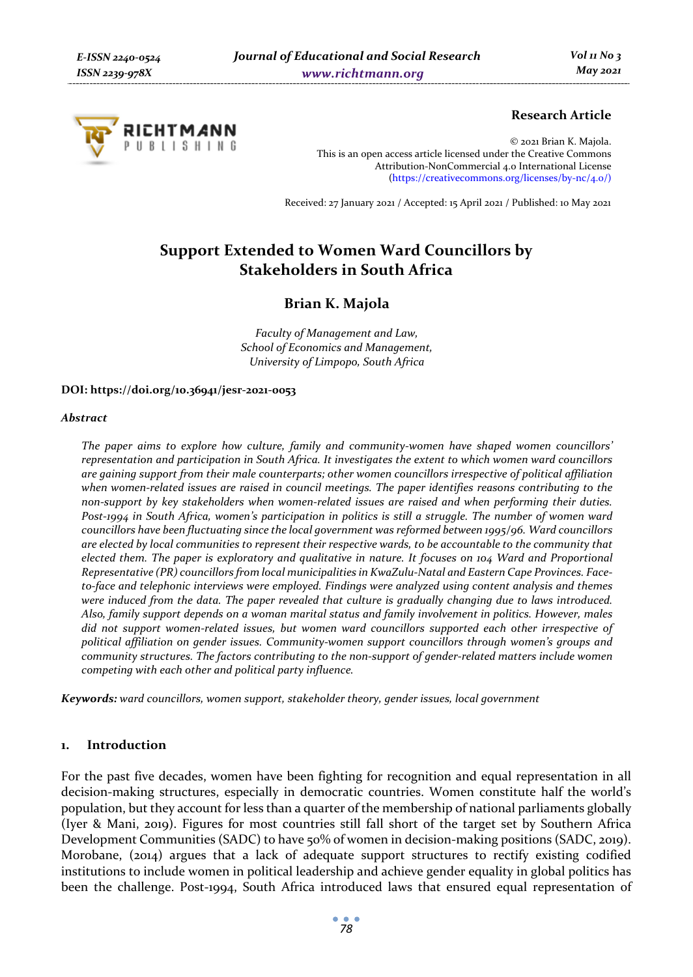

# **Research Article**

© 2021 Brian K. Majola. This is an open access article licensed under the Creative Commons Attribution-NonCommercial 4.0 International License (https://creativecommons.org/licenses/by-nc/4.0/)

Received: 27 January 2021 / Accepted: 15 April 2021 / Published: 10 May 2021

# **Support Extended to Women Ward Councillors by Stakeholders in South Africa**

# **Brian K. Majola**

*Faculty of Management and Law, School of Economics and Management, University of Limpopo, South Africa* 

#### **DOI: https://doi.org/10.36941/jesr-2021-0053**

#### *Abstract*

*The paper aims to explore how culture, family and community-women have shaped women councillors' representation and participation in South Africa. It investigates the extent to which women ward councillors are gaining support from their male counterparts; other women councillors irrespective of political affiliation when women-related issues are raised in council meetings. The paper identifies reasons contributing to the non-support by key stakeholders when women-related issues are raised and when performing their duties. Post-1994 in South Africa, women's participation in politics is still a struggle. The number of women ward councillors have been fluctuating since the local government was reformed between 1995/96. Ward councillors are elected by local communities to represent their respective wards, to be accountable to the community that elected them. The paper is exploratory and qualitative in nature. It focuses on 104 Ward and Proportional Representative (PR) councillors from local municipalities in KwaZulu-Natal and Eastern Cape Provinces. Faceto-face and telephonic interviews were employed. Findings were analyzed using content analysis and themes were induced from the data. The paper revealed that culture is gradually changing due to laws introduced. Also, family support depends on a woman marital status and family involvement in politics. However, males did not support women-related issues, but women ward councillors supported each other irrespective of political affiliation on gender issues. Community-women support councillors through women's groups and community structures. The factors contributing to the non-support of gender-related matters include women competing with each other and political party influence.* 

*Keywords: ward councillors, women support, stakeholder theory, gender issues, local government* 

#### **1. Introduction**

For the past five decades, women have been fighting for recognition and equal representation in all decision-making structures, especially in democratic countries. Women constitute half the world's population, but they account for less than a quarter of the membership of national parliaments globally (Iyer & Mani, 2019). Figures for most countries still fall short of the target set by Southern Africa Development Communities (SADC) to have 50% of women in decision-making positions (SADC, 2019). Morobane, (2014) argues that a lack of adequate support structures to rectify existing codified institutions to include women in political leadership and achieve gender equality in global politics has been the challenge. Post-1994, South Africa introduced laws that ensured equal representation of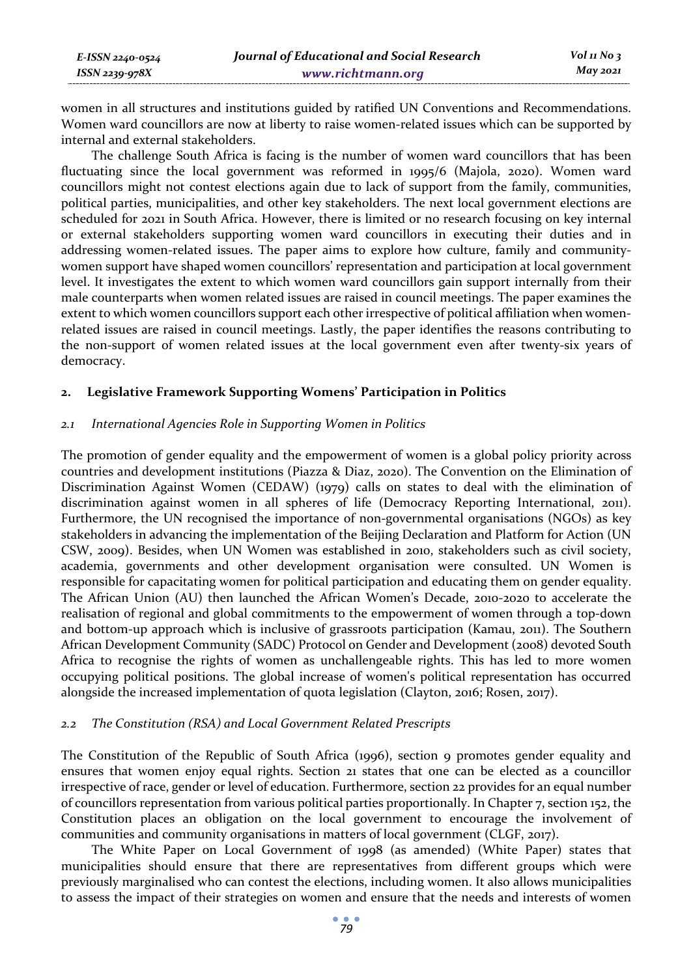women in all structures and institutions guided by ratified UN Conventions and Recommendations. Women ward councillors are now at liberty to raise women-related issues which can be supported by internal and external stakeholders.

The challenge South Africa is facing is the number of women ward councillors that has been fluctuating since the local government was reformed in 1995/6 (Majola, 2020). Women ward councillors might not contest elections again due to lack of support from the family, communities, political parties, municipalities, and other key stakeholders. The next local government elections are scheduled for 2021 in South Africa. However, there is limited or no research focusing on key internal or external stakeholders supporting women ward councillors in executing their duties and in addressing women-related issues. The paper aims to explore how culture, family and communitywomen support have shaped women councillors' representation and participation at local government level. It investigates the extent to which women ward councillors gain support internally from their male counterparts when women related issues are raised in council meetings. The paper examines the extent to which women councillors support each other irrespective of political affiliation when womenrelated issues are raised in council meetings. Lastly, the paper identifies the reasons contributing to the non-support of women related issues at the local government even after twenty-six years of democracy.

### **2. Legislative Framework Supporting Womens' Participation in Politics**

### *2.1 International Agencies Role in Supporting Women in Politics*

The promotion of gender equality and the empowerment of women is a global policy priority across countries and development institutions (Piazza & Diaz, 2020). The Convention on the Elimination of Discrimination Against Women (CEDAW) (1979) calls on states to deal with the elimination of discrimination against women in all spheres of life (Democracy Reporting International, 2011). Furthermore, the UN recognised the importance of non-governmental organisations (NGOs) as key stakeholders in advancing the implementation of the Beijing Declaration and Platform for Action (UN CSW, 2009). Besides, when UN Women was established in 2010, stakeholders such as civil society, academia, governments and other development organisation were consulted. UN Women is responsible for capacitating women for political participation and educating them on gender equality. The African Union (AU) then launched the African Women's Decade, 2010-2020 to accelerate the realisation of regional and global commitments to the empowerment of women through a top-down and bottom-up approach which is inclusive of grassroots participation (Kamau, 2011). The Southern African Development Community (SADC) Protocol on Gender and Development (2008) devoted South Africa to recognise the rights of women as unchallengeable rights. This has led to more women occupying political positions. The global increase of women's political representation has occurred alongside the increased implementation of quota legislation (Clayton, 2016; Rosen, 2017).

#### *2.2 The Constitution (RSA) and Local Government Related Prescripts*

The Constitution of the Republic of South Africa (1996), section 9 promotes gender equality and ensures that women enjoy equal rights. Section 21 states that one can be elected as a councillor irrespective of race, gender or level of education. Furthermore, section 22 provides for an equal number of councillors representation from various political parties proportionally. In Chapter 7, section 152, the Constitution places an obligation on the local government to encourage the involvement of communities and community organisations in matters of local government (CLGF, 2017).

The White Paper on Local Government of 1998 (as amended) (White Paper) states that municipalities should ensure that there are representatives from different groups which were previously marginalised who can contest the elections, including women. It also allows municipalities to assess the impact of their strategies on women and ensure that the needs and interests of women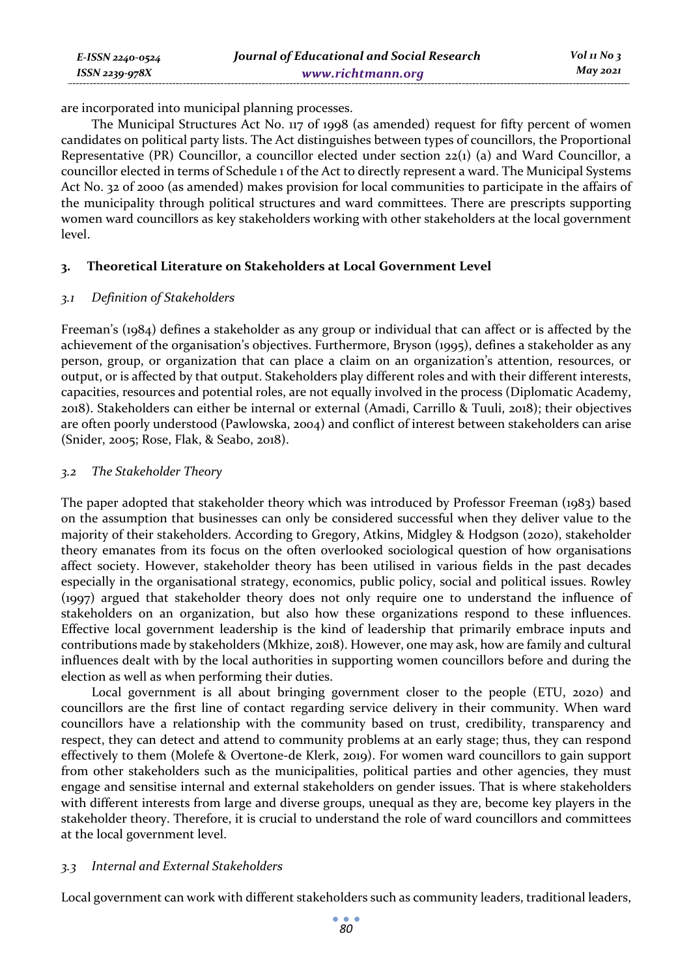are incorporated into municipal planning processes.

The Municipal Structures Act No. 117 of 1998 (as amended) request for fifty percent of women candidates on political party lists. The Act distinguishes between types of councillors, the Proportional Representative (PR) Councillor, a councillor elected under section 22(1) (a) and Ward Councillor, a councillor elected in terms of Schedule 1 of the Act to directly represent a ward. The Municipal Systems Act No. 32 of 2000 (as amended) makes provision for local communities to participate in the affairs of the municipality through political structures and ward committees. There are prescripts supporting women ward councillors as key stakeholders working with other stakeholders at the local government level.

# **3. Theoretical Literature on Stakeholders at Local Government Level**

#### *3.1 Definition of Stakeholders*

*ISSN 2239-978X*

Freeman's (1984) defines a stakeholder as any group or individual that can affect or is affected by the achievement of the organisation's objectives. Furthermore, Bryson (1995), defines a stakeholder as any person, group, or organization that can place a claim on an organization's attention, resources, or output, or is affected by that output. Stakeholders play different roles and with their different interests, capacities, resources and potential roles, are not equally involved in the process (Diplomatic Academy, 2018). Stakeholders can either be internal or external (Amadi, Carrillo & Tuuli, 2018); their objectives are often poorly understood (Pawlowska, 2004) and conflict of interest between stakeholders can arise (Snider, 2005; Rose, Flak, & Seabo, 2018).

### *3.2 The Stakeholder Theory*

The paper adopted that stakeholder theory which was introduced by Professor Freeman (1983) based on the assumption that businesses can only be considered successful when they deliver value to the majority of their stakeholders. According to Gregory, Atkins, Midgley & Hodgson (2020), stakeholder theory emanates from its focus on the often overlooked sociological question of how organisations affect society. However, stakeholder theory has been utilised in various fields in the past decades especially in the organisational strategy, economics, public policy, social and political issues. Rowley (1997) argued that stakeholder theory does not only require one to understand the influence of stakeholders on an organization, but also how these organizations respond to these influences. Effective local government leadership is the kind of leadership that primarily embrace inputs and contributions made by stakeholders (Mkhize, 2018). However, one may ask, how are family and cultural influences dealt with by the local authorities in supporting women councillors before and during the election as well as when performing their duties.

Local government is all about bringing government closer to the people (ETU, 2020) and councillors are the first line of contact regarding service delivery in their community. When ward councillors have a relationship with the community based on trust, credibility, transparency and respect, they can detect and attend to community problems at an early stage; thus, they can respond effectively to them (Molefe & Overtone-de Klerk, 2019). For women ward councillors to gain support from other stakeholders such as the municipalities, political parties and other agencies, they must engage and sensitise internal and external stakeholders on gender issues. That is where stakeholders with different interests from large and diverse groups, unequal as they are, become key players in the stakeholder theory. Therefore, it is crucial to understand the role of ward councillors and committees at the local government level.

# *3.3 Internal and External Stakeholders*

Local government can work with different stakeholders such as community leaders, traditional leaders,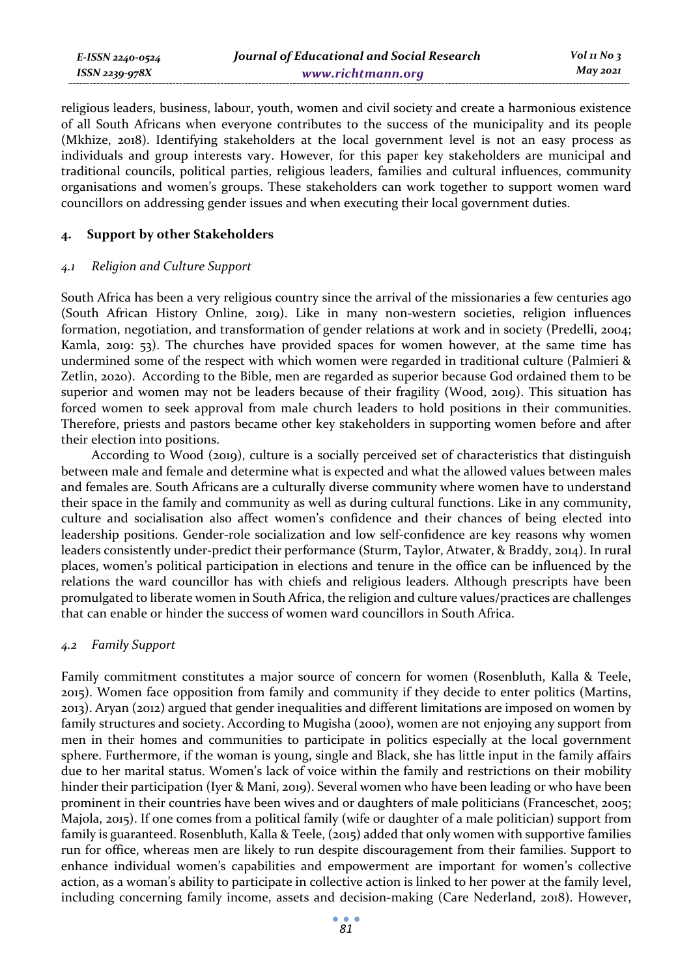| E-ISSN 2240-0524 | Journal of Educational and Social Research | $Vol$ 11 No 3 |
|------------------|--------------------------------------------|---------------|
| ISSN 2239-978X   | www.richtmann.org                          | May 2021      |

religious leaders, business, labour, youth, women and civil society and create a harmonious existence of all South Africans when everyone contributes to the success of the municipality and its people (Mkhize, 2018). Identifying stakeholders at the local government level is not an easy process as individuals and group interests vary. However, for this paper key stakeholders are municipal and traditional councils, political parties, religious leaders, families and cultural influences, community organisations and women's groups. These stakeholders can work together to support women ward councillors on addressing gender issues and when executing their local government duties.

### **4. Support by other Stakeholders**

#### *4.1 Religion and Culture Support*

South Africa has been a very religious country since the arrival of the missionaries a few centuries ago (South African History Online, 2019). Like in many non-western societies, religion influences formation, negotiation, and transformation of gender relations at work and in society (Predelli, 2004; Kamla, 2019: 53). The churches have provided spaces for women however, at the same time has undermined some of the respect with which women were regarded in traditional culture (Palmieri & Zetlin, 2020). According to the Bible, men are regarded as superior because God ordained them to be superior and women may not be leaders because of their fragility (Wood, 2019). This situation has forced women to seek approval from male church leaders to hold positions in their communities. Therefore, priests and pastors became other key stakeholders in supporting women before and after their election into positions.

According to Wood (2019), culture is a socially perceived set of characteristics that distinguish between male and female and determine what is expected and what the allowed values between males and females are. South Africans are a culturally diverse community where women have to understand their space in the family and community as well as during cultural functions. Like in any community, culture and socialisation also affect women's confidence and their chances of being elected into leadership positions. Gender-role socialization and low self-confidence are key reasons why women leaders consistently under-predict their performance (Sturm, Taylor, Atwater, & Braddy, 2014). In rural places, women's political participation in elections and tenure in the office can be influenced by the relations the ward councillor has with chiefs and religious leaders. Although prescripts have been promulgated to liberate women in South Africa, the religion and culture values/practices are challenges that can enable or hinder the success of women ward councillors in South Africa.

### *4.2 Family Support*

Family commitment constitutes a major source of concern for women (Rosenbluth, Kalla & Teele, 2015). Women face opposition from family and community if they decide to enter politics (Martins, 2013). Aryan (2012) argued that gender inequalities and different limitations are imposed on women by family structures and society. According to Mugisha (2000), women are not enjoying any support from men in their homes and communities to participate in politics especially at the local government sphere. Furthermore, if the woman is young, single and Black, she has little input in the family affairs due to her marital status. Women's lack of voice within the family and restrictions on their mobility hinder their participation (Iyer & Mani, 2019). Several women who have been leading or who have been prominent in their countries have been wives and or daughters of male politicians (Franceschet, 2005; Majola, 2015). If one comes from a political family (wife or daughter of a male politician) support from family is guaranteed. Rosenbluth, Kalla & Teele, (2015) added that only women with supportive families run for office, whereas men are likely to run despite discouragement from their families. Support to enhance individual women's capabilities and empowerment are important for women's collective action, as a woman's ability to participate in collective action is linked to her power at the family level, including concerning family income, assets and decision-making (Care Nederland, 2018). However,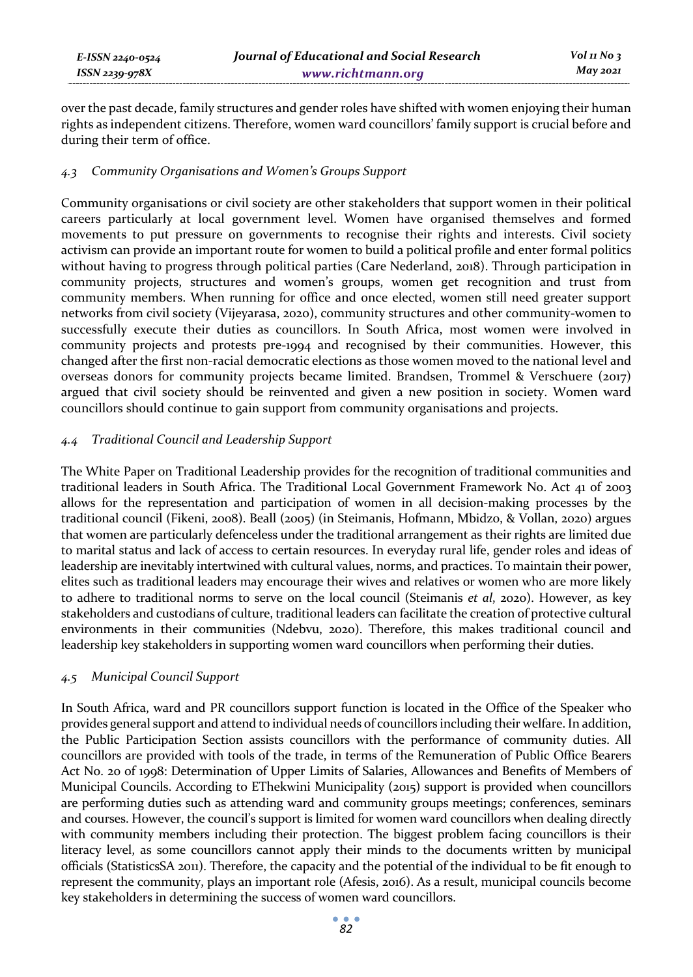*E-ISSN 2240-0524 ISSN 2239-978X*

over the past decade, family structures and gender roles have shifted with women enjoying their human rights as independent citizens. Therefore, women ward councillors' family support is crucial before and during their term of office.

### *4.3 Community Organisations and Women's Groups Support*

Community organisations or civil society are other stakeholders that support women in their political careers particularly at local government level. Women have organised themselves and formed movements to put pressure on governments to recognise their rights and interests. Civil society activism can provide an important route for women to build a political profile and enter formal politics without having to progress through political parties (Care Nederland, 2018). Through participation in community projects, structures and women's groups, women get recognition and trust from community members. When running for office and once elected, women still need greater support networks from civil society (Vijeyarasa, 2020), community structures and other community-women to successfully execute their duties as councillors. In South Africa, most women were involved in community projects and protests pre-1994 and recognised by their communities. However, this changed after the first non-racial democratic elections as those women moved to the national level and overseas donors for community projects became limited. Brandsen, Trommel & Verschuere (2017) argued that civil society should be reinvented and given a new position in society. Women ward councillors should continue to gain support from community organisations and projects.

# *4.4 Traditional Council and Leadership Support*

The White Paper on Traditional Leadership provides for the recognition of traditional communities and traditional leaders in South Africa. The Traditional Local Government Framework No. Act 41 of 2003 allows for the representation and participation of women in all decision-making processes by the traditional council (Fikeni, 2008). Beall (2005) (in Steimanis, Hofmann, Mbidzo, & Vollan, 2020) argues that women are particularly defenceless under the traditional arrangement as their rights are limited due to marital status and lack of access to certain resources. In everyday rural life, gender roles and ideas of leadership are inevitably intertwined with cultural values, norms, and practices. To maintain their power, elites such as traditional leaders may encourage their wives and relatives or women who are more likely to adhere to traditional norms to serve on the local council (Steimanis *et al*, 2020). However, as key stakeholders and custodians of culture, traditional leaders can facilitate the creation of protective cultural environments in their communities (Ndebvu, 2020). Therefore, this makes traditional council and leadership key stakeholders in supporting women ward councillors when performing their duties.

#### *4.5 Municipal Council Support*

In South Africa, ward and PR councillors support function is located in the Office of the Speaker who provides general support and attend to individual needs of councillors including their welfare. In addition, the Public Participation Section assists councillors with the performance of community duties. All councillors are provided with tools of the trade, in terms of the Remuneration of Public Office Bearers Act No. 20 of 1998: Determination of Upper Limits of Salaries, Allowances and Benefits of Members of Municipal Councils. According to EThekwini Municipality (2015) support is provided when councillors are performing duties such as attending ward and community groups meetings; conferences, seminars and courses. However, the council's support is limited for women ward councillors when dealing directly with community members including their protection. The biggest problem facing councillors is their literacy level, as some councillors cannot apply their minds to the documents written by municipal officials (StatisticsSA 2011). Therefore, the capacity and the potential of the individual to be fit enough to represent the community, plays an important role (Afesis, 2016). As a result, municipal councils become key stakeholders in determining the success of women ward councillors.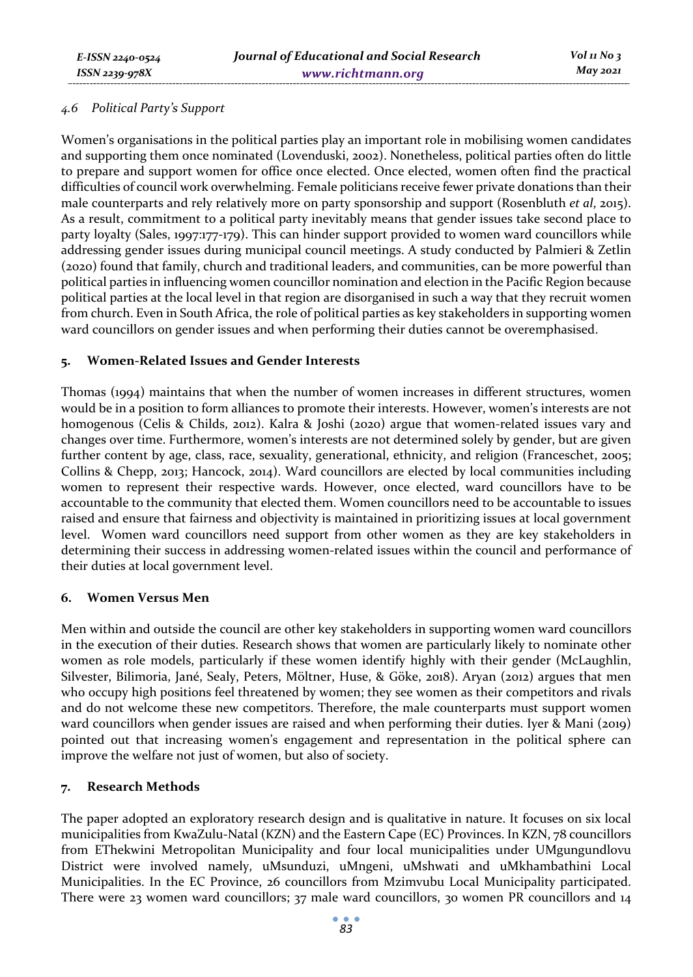### *4.6 Political Party's Support*

Women's organisations in the political parties play an important role in mobilising women candidates and supporting them once nominated (Lovenduski, 2002). Nonetheless, political parties often do little to prepare and support women for office once elected. Once elected, women often find the practical difficulties of council work overwhelming. Female politicians receive fewer private donations than their male counterparts and rely relatively more on party sponsorship and support (Rosenbluth *et al*, 2015). As a result, commitment to a political party inevitably means that gender issues take second place to party loyalty (Sales, 1997:177-179). This can hinder support provided to women ward councillors while addressing gender issues during municipal council meetings. A study conducted by Palmieri & Zetlin (2020) found that family, church and traditional leaders, and communities, can be more powerful than political parties in influencing women councillor nomination and election in the Pacific Region because political parties at the local level in that region are disorganised in such a way that they recruit women from church. Even in South Africa, the role of political parties as key stakeholders in supporting women ward councillors on gender issues and when performing their duties cannot be overemphasised.

# **5. Women-Related Issues and Gender Interests**

Thomas (1994) maintains that when the number of women increases in different structures, women would be in a position to form alliances to promote their interests. However, women's interests are not homogenous (Celis & Childs, 2012). Kalra & Joshi (2020) argue that women-related issues vary and changes over time. Furthermore, women's interests are not determined solely by gender, but are given further content by age, class, race, sexuality, generational, ethnicity, and religion (Franceschet, 2005; Collins & Chepp, 2013; Hancock, 2014). Ward councillors are elected by local communities including women to represent their respective wards. However, once elected, ward councillors have to be accountable to the community that elected them. Women councillors need to be accountable to issues raised and ensure that fairness and objectivity is maintained in prioritizing issues at local government level. Women ward councillors need support from other women as they are key stakeholders in determining their success in addressing women-related issues within the council and performance of their duties at local government level.

#### **6. Women Versus Men**

Men within and outside the council are other key stakeholders in supporting women ward councillors in the execution of their duties. Research shows that women are particularly likely to nominate other women as role models, particularly if these women identify highly with their gender (McLaughlin, Silvester, Bilimoria, Jané, Sealy, Peters, Möltner, Huse, & Göke, 2018). Aryan (2012) argues that men who occupy high positions feel threatened by women; they see women as their competitors and rivals and do not welcome these new competitors. Therefore, the male counterparts must support women ward councillors when gender issues are raised and when performing their duties. Iyer & Mani (2019) pointed out that increasing women's engagement and representation in the political sphere can improve the welfare not just of women, but also of society.

# **7. Research Methods**

The paper adopted an exploratory research design and is qualitative in nature. It focuses on six local municipalities from KwaZulu-Natal (KZN) and the Eastern Cape (EC) Provinces. In KZN, 78 councillors from EThekwini Metropolitan Municipality and four local municipalities under UMgungundlovu District were involved namely, uMsunduzi, uMngeni, uMshwati and uMkhambathini Local Municipalities. In the EC Province, 26 councillors from Mzimvubu Local Municipality participated. There were 23 women ward councillors; 37 male ward councillors, 30 women PR councillors and 14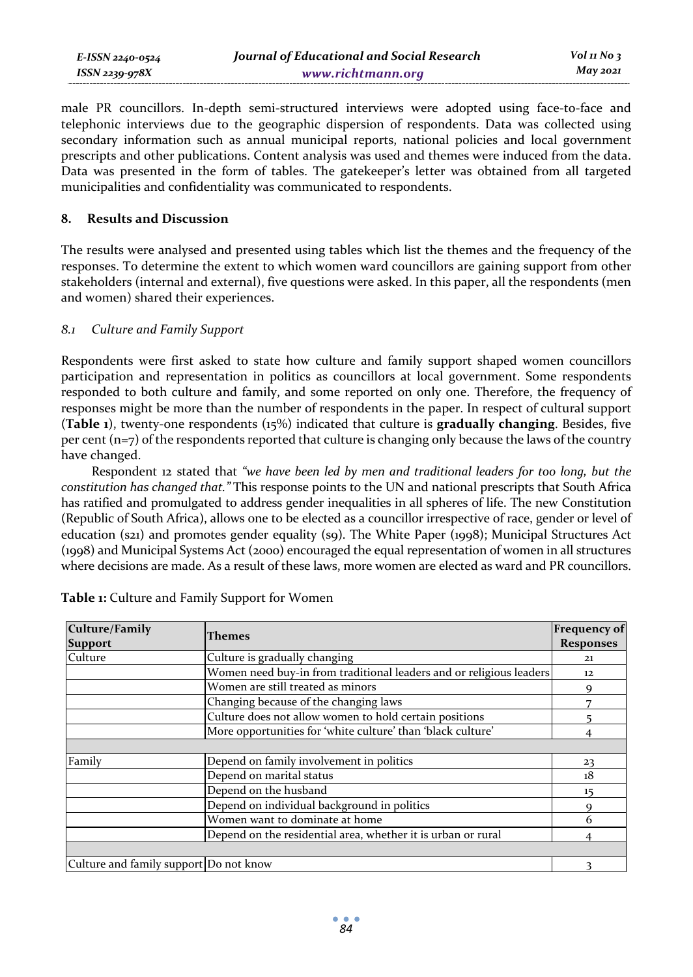male PR councillors. In-depth semi-structured interviews were adopted using face-to-face and telephonic interviews due to the geographic dispersion of respondents. Data was collected using secondary information such as annual municipal reports, national policies and local government prescripts and other publications. Content analysis was used and themes were induced from the data. Data was presented in the form of tables. The gatekeeper's letter was obtained from all targeted municipalities and confidentiality was communicated to respondents.

#### **8. Results and Discussion**

The results were analysed and presented using tables which list the themes and the frequency of the responses. To determine the extent to which women ward councillors are gaining support from other stakeholders (internal and external), five questions were asked. In this paper, all the respondents (men and women) shared their experiences.

# *8.1 Culture and Family Support*

Respondents were first asked to state how culture and family support shaped women councillors participation and representation in politics as councillors at local government. Some respondents responded to both culture and family, and some reported on only one. Therefore, the frequency of responses might be more than the number of respondents in the paper. In respect of cultural support (**Table 1**), twenty-one respondents (15%) indicated that culture is **gradually changing**. Besides, five per cent  $(n=7)$  of the respondents reported that culture is changing only because the laws of the country have changed.

Respondent 12 stated that *"we have been led by men and traditional leaders for too long, but the constitution has changed that."* This response points to the UN and national prescripts that South Africa has ratified and promulgated to address gender inequalities in all spheres of life. The new Constitution (Republic of South Africa), allows one to be elected as a councillor irrespective of race, gender or level of education (s21) and promotes gender equality (s9). The White Paper (1998); Municipal Structures Act (1998) and Municipal Systems Act (2000) encouraged the equal representation of women in all structures where decisions are made. As a result of these laws, more women are elected as ward and PR councillors.

| Culture/Family<br><b>Support</b>       | Themes                                                              | <b>Frequency of</b><br><b>Responses</b> |
|----------------------------------------|---------------------------------------------------------------------|-----------------------------------------|
| Culture                                | Culture is gradually changing                                       | 21                                      |
|                                        | Women need buy-in from traditional leaders and or religious leaders | 12                                      |
|                                        | Women are still treated as minors                                   | 9                                       |
|                                        | Changing because of the changing laws                               |                                         |
|                                        | Culture does not allow women to hold certain positions              |                                         |
|                                        | More opportunities for 'white culture' than 'black culture'         |                                         |
|                                        |                                                                     |                                         |
| Family                                 | Depend on family involvement in politics                            | 23                                      |
|                                        | Depend on marital status                                            | 18                                      |
|                                        | Depend on the husband                                               | 15                                      |
|                                        | Depend on individual background in politics                         |                                         |
|                                        | Women want to dominate at home                                      | 6                                       |
|                                        | Depend on the residential area, whether it is urban or rural        |                                         |
|                                        |                                                                     |                                         |
| Culture and family support Do not know |                                                                     |                                         |

| Table 1: Culture and Family Support for Women |  |  |
|-----------------------------------------------|--|--|
|-----------------------------------------------|--|--|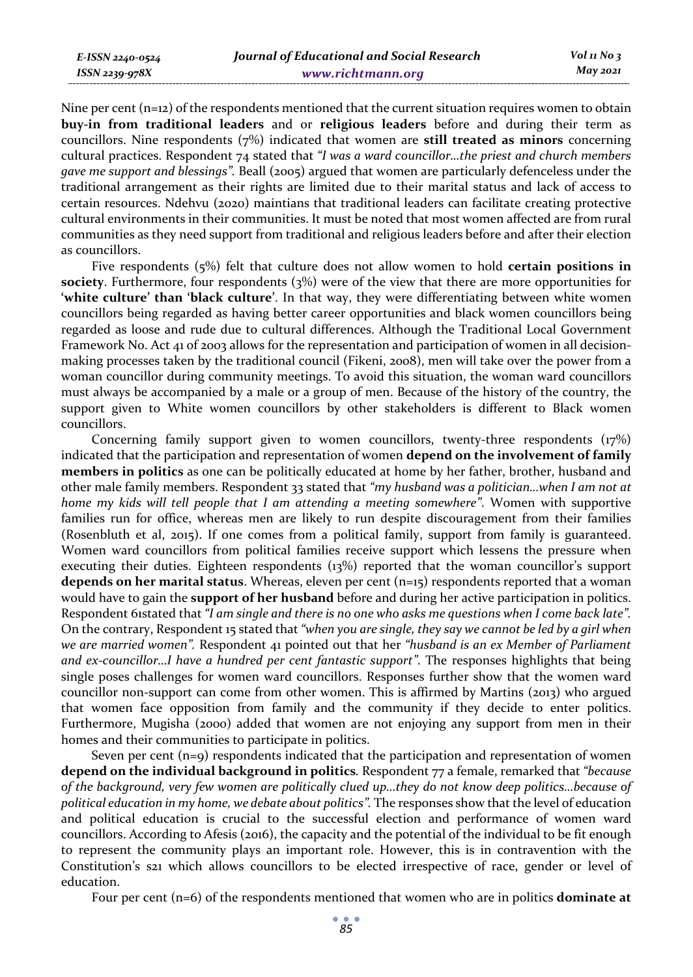Nine per cent  $(n=12)$  of the respondents mentioned that the current situation requires women to obtain **buy-in from traditional leaders** and or **religious leaders** before and during their term as councillors. Nine respondents (7%) indicated that women are **still treated as minors** concerning cultural practices. Respondent 74 stated that *"I was a ward councillor…the priest and church members gave me support and blessings".* Beall (2005) argued that women are particularly defenceless under the traditional arrangement as their rights are limited due to their marital status and lack of access to certain resources. Ndehvu (2020) maintians that traditional leaders can facilitate creating protective cultural environments in their communities. It must be noted that most women affected are from rural communities as they need support from traditional and religious leaders before and after their election as councillors.

Five respondents (5%) felt that culture does not allow women to hold **certain positions in society**. Furthermore, four respondents (3%) were of the view that there are more opportunities for **'white culture' than 'black culture'**. In that way, they were differentiating between white women councillors being regarded as having better career opportunities and black women councillors being regarded as loose and rude due to cultural differences. Although the Traditional Local Government Framework No. Act 41 of 2003 allows for the representation and participation of women in all decisionmaking processes taken by the traditional council (Fikeni, 2008), men will take over the power from a woman councillor during community meetings. To avoid this situation, the woman ward councillors must always be accompanied by a male or a group of men. Because of the history of the country, the support given to White women councillors by other stakeholders is different to Black women councillors.

Concerning family support given to women councillors, twenty-three respondents (17%) indicated that the participation and representation of women **depend on the involvement of family members in politics** as one can be politically educated at home by her father, brother, husband and other male family members. Respondent 33 stated that *"my husband was a politician…when I am not at home my kids will tell people that I am attending a meeting somewhere"*. Women with supportive families run for office, whereas men are likely to run despite discouragement from their families (Rosenbluth et al, 2015). If one comes from a political family, support from family is guaranteed. Women ward councillors from political families receive support which lessens the pressure when executing their duties. Eighteen respondents (13%) reported that the woman councillor's support **depends on her marital status**. Whereas, eleven per cent (n=15) respondents reported that a woman would have to gain the **support of her husband** before and during her active participation in politics. Respondent 61stated that *"I am single and there is no one who asks me questions when I come back late".*  On the contrary, Respondent 15 stated that *"when you are single, they say we cannot be led by a girl when we are married women".* Respondent 41 pointed out that her *"husband is an ex Member of Parliament and ex-councillor…I have a hundred per cent fantastic support"*. The responses highlights that being single poses challenges for women ward councillors. Responses further show that the women ward councillor non-support can come from other women. This is affirmed by Martins (2013) who argued that women face opposition from family and the community if they decide to enter politics. Furthermore, Mugisha (2000) added that women are not enjoying any support from men in their homes and their communities to participate in politics.

Seven per cent (n=9) respondents indicated that the participation and representation of women **depend on the individual background in politics***.* Respondent 77 a female, remarked that *"because of the background, very few women are politically clued up…they do not know deep politics…because of political education in my home, we debate about politics".* The responses show that the level of education and political education is crucial to the successful election and performance of women ward councillors. According to Afesis (2016), the capacity and the potential of the individual to be fit enough to represent the community plays an important role. However, this is in contravention with the Constitution's s21 which allows councillors to be elected irrespective of race, gender or level of education.

Four per cent (n=6) of the respondents mentioned that women who are in politics **dominate at**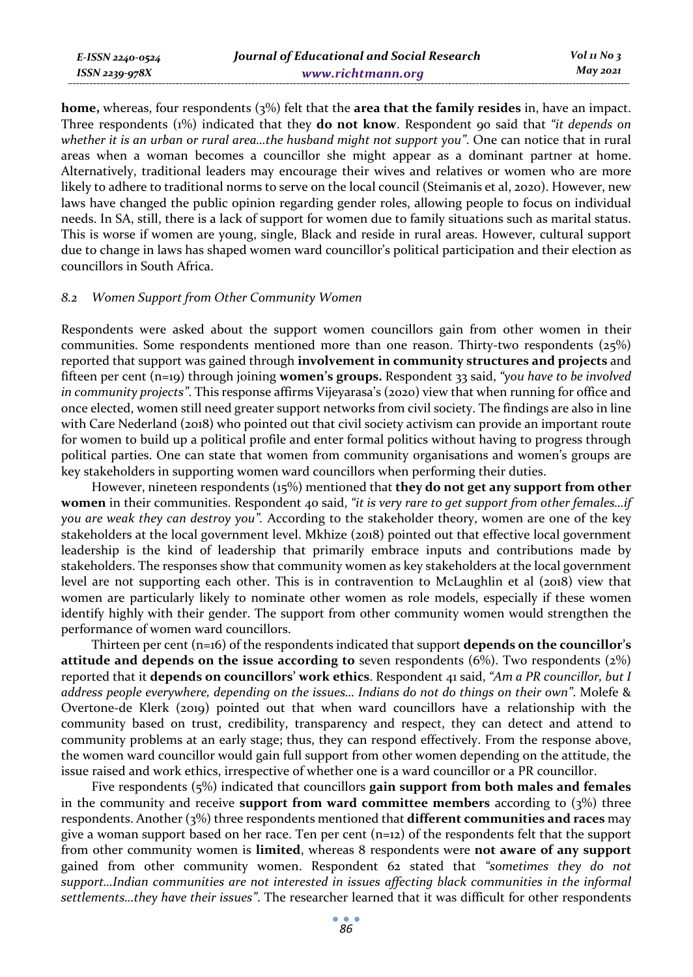*E-ISSN 2240-0524 ISSN 2239-978X*

**home,** whereas, four respondents (3%) felt that the **area that the family resides** in, have an impact. Three respondents (1%) indicated that they **do not know**. Respondent 90 said that *"it depends on whether it is an urban or rural area…the husband might not support you"*. One can notice that in rural areas when a woman becomes a councillor she might appear as a dominant partner at home. Alternatively, traditional leaders may encourage their wives and relatives or women who are more likely to adhere to traditional norms to serve on the local council (Steimanis et al, 2020). However, new laws have changed the public opinion regarding gender roles, allowing people to focus on individual needs. In SA, still, there is a lack of support for women due to family situations such as marital status. This is worse if women are young, single, Black and reside in rural areas. However, cultural support due to change in laws has shaped women ward councillor's political participation and their election as councillors in South Africa.

#### *8.2 Women Support from Other Community Women*

Respondents were asked about the support women councillors gain from other women in their communities. Some respondents mentioned more than one reason. Thirty-two respondents (25%) reported that support was gained through **involvement in community structures and projects** and fifteen per cent (n=19) through joining **women's groups.** Respondent 33 said, *"you have to be involved in community projects"*. This response affirms Vijeyarasa's (2020) view that when running for office and once elected, women still need greater support networks from civil society. The findings are also in line with Care Nederland (2018) who pointed out that civil society activism can provide an important route for women to build up a political profile and enter formal politics without having to progress through political parties. One can state that women from community organisations and women's groups are key stakeholders in supporting women ward councillors when performing their duties.

However, nineteen respondents (15%) mentioned that **they do not get any support from other women** in their communities. Respondent 40 said, *"it is very rare to get support from other females…if you are weak they can destroy you".* According to the stakeholder theory, women are one of the key stakeholders at the local government level. Mkhize (2018) pointed out that effective local government leadership is the kind of leadership that primarily embrace inputs and contributions made by stakeholders. The responses show that community women as key stakeholders at the local government level are not supporting each other. This is in contravention to McLaughlin et al (2018) view that women are particularly likely to nominate other women as role models, especially if these women identify highly with their gender. The support from other community women would strengthen the performance of women ward councillors.

Thirteen per cent (n=16) of the respondents indicated that support **depends on the councillor's attitude and depends on the issue according to** seven respondents (6%). Two respondents (2%) reported that it **depends on councillors' work ethics**. Respondent 41 said, *"Am a PR councillor, but I address people everywhere, depending on the issues… Indians do not do things on their own"*. Molefe & Overtone-de Klerk (2019) pointed out that when ward councillors have a relationship with the community based on trust, credibility, transparency and respect, they can detect and attend to community problems at an early stage; thus, they can respond effectively. From the response above, the women ward councillor would gain full support from other women depending on the attitude, the issue raised and work ethics, irrespective of whether one is a ward councillor or a PR councillor.

Five respondents (5%) indicated that councillors **gain support from both males and females** in the community and receive **support from ward committee members** according to (3%) three respondents. Another (3%) three respondents mentioned that **different communities and races** may give a woman support based on her race. Ten per cent  $(n=12)$  of the respondents felt that the support from other community women is **limited**, whereas 8 respondents were **not aware of any support** gained from other community women. Respondent 62 stated that *"sometimes they do not support…Indian communities are not interested in issues affecting black communities in the informal settlements…they have their issues"*. The researcher learned that it was difficult for other respondents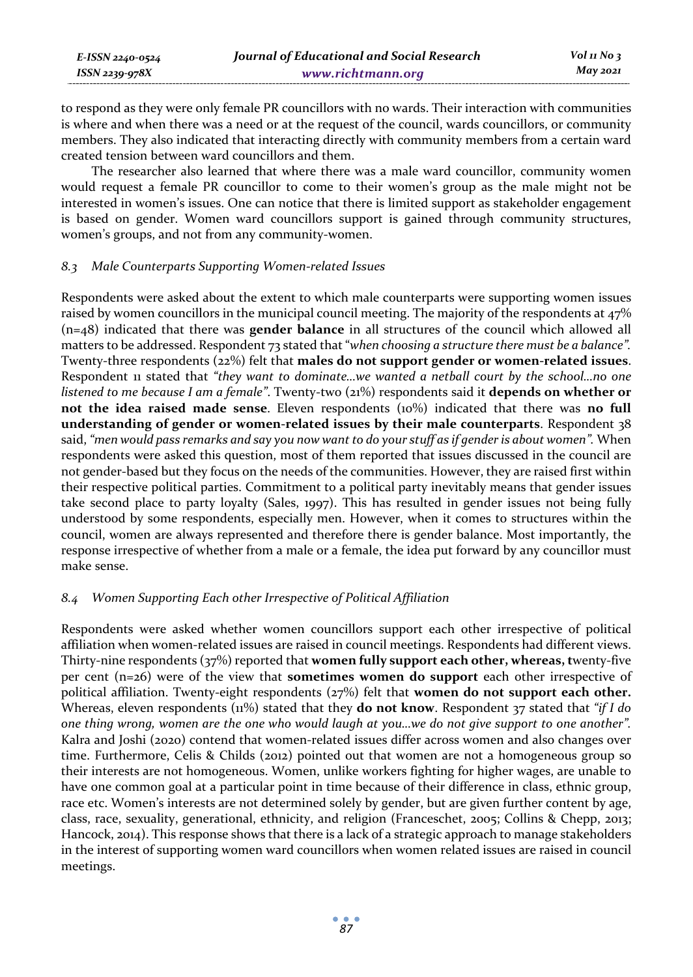| E-ISSN 2240-0524 | Journal of Educational and Social Research | $Vol_1N_0_3$ |
|------------------|--------------------------------------------|--------------|
| ISSN 2239-978X   | www.richtmann.org                          | May 2021     |

to respond as they were only female PR councillors with no wards. Their interaction with communities is where and when there was a need or at the request of the council, wards councillors, or community members. They also indicated that interacting directly with community members from a certain ward created tension between ward councillors and them.

The researcher also learned that where there was a male ward councillor, community women would request a female PR councillor to come to their women's group as the male might not be interested in women's issues. One can notice that there is limited support as stakeholder engagement is based on gender. Women ward councillors support is gained through community structures, women's groups, and not from any community-women.

#### *8.3 Male Counterparts Supporting Women-related Issues*

Respondents were asked about the extent to which male counterparts were supporting women issues raised by women councillors in the municipal council meeting. The majority of the respondents at 47% (n=48) indicated that there was **gender balance** in all structures of the council which allowed all matters to be addressed. Respondent 73 stated that "*when choosing a structure there must be a balance".*  Twenty-three respondents (22%) felt that **males do not support gender or women-related issues**. Respondent 11 stated that *"they want to dominate…we wanted a netball court by the school…no one listened to me because I am a female"*. Twenty-two (21%) respondents said it **depends on whether or not the idea raised made sense**. Eleven respondents (10%) indicated that there was **no full understanding of gender or women-related issues by their male counterparts**. Respondent 38 said, *"men would pass remarks and say you now want to do your stuff as if gender is about women".* When respondents were asked this question, most of them reported that issues discussed in the council are not gender-based but they focus on the needs of the communities. However, they are raised first within their respective political parties. Commitment to a political party inevitably means that gender issues take second place to party loyalty (Sales, 1997). This has resulted in gender issues not being fully understood by some respondents, especially men. However, when it comes to structures within the council, women are always represented and therefore there is gender balance. Most importantly, the response irrespective of whether from a male or a female, the idea put forward by any councillor must make sense.

# *8.4 Women Supporting Each other Irrespective of Political Affiliation*

Respondents were asked whether women councillors support each other irrespective of political affiliation when women-related issues are raised in council meetings. Respondents had different views. Thirty-nine respondents (37%) reported that **women fully support each other, whereas, t**wenty-five per cent (n=26) were of the view that **sometimes women do support** each other irrespective of political affiliation. Twenty-eight respondents (27%) felt that **women do not support each other.** Whereas, eleven respondents (11%) stated that they **do not know**. Respondent 37 stated that *"if I do one thing wrong, women are the one who would laugh at you…we do not give support to one another".* Kalra and Joshi (2020) contend that women-related issues differ across women and also changes over time. Furthermore, Celis & Childs (2012) pointed out that women are not a homogeneous group so their interests are not homogeneous. Women, unlike workers fighting for higher wages, are unable to have one common goal at a particular point in time because of their difference in class, ethnic group, race etc. Women's interests are not determined solely by gender, but are given further content by age, class, race, sexuality, generational, ethnicity, and religion (Franceschet, 2005; Collins & Chepp, 2013; Hancock, 2014). This response shows that there is a lack of a strategic approach to manage stakeholders in the interest of supporting women ward councillors when women related issues are raised in council meetings.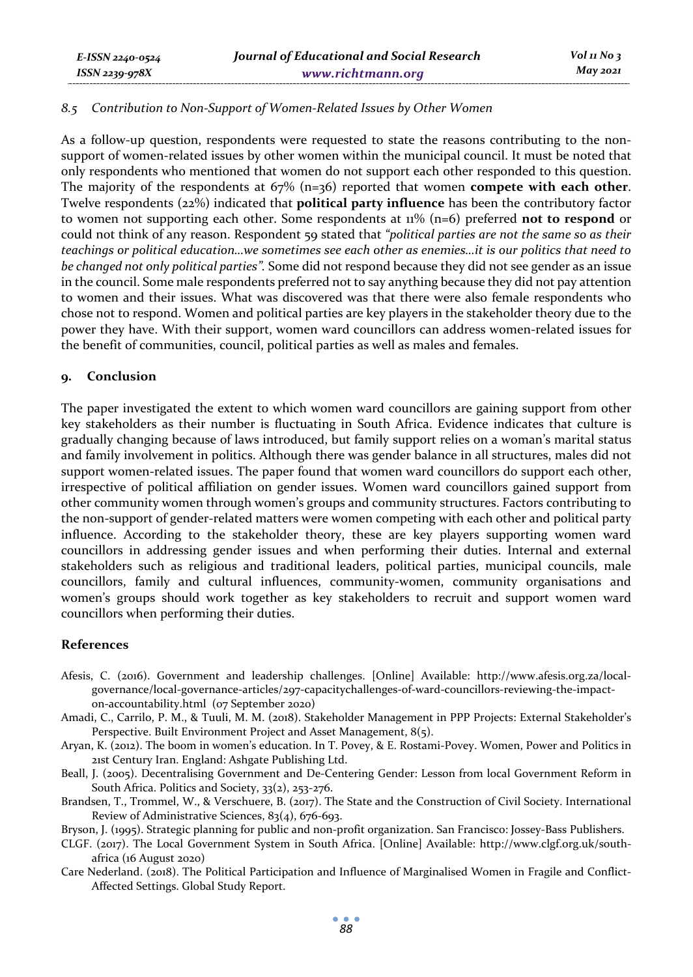#### *8.5 Contribution to Non-Support of Women-Related Issues by Other Women*

As a follow-up question, respondents were requested to state the reasons contributing to the nonsupport of women-related issues by other women within the municipal council. It must be noted that only respondents who mentioned that women do not support each other responded to this question. The majority of the respondents at 67% (n=36) reported that women **compete with each other**. Twelve respondents (22%) indicated that **political party influence** has been the contributory factor to women not supporting each other. Some respondents at 11% (n=6) preferred **not to respond** or could not think of any reason. Respondent 59 stated that *"political parties are not the same so as their teachings or political education…we sometimes see each other as enemies…it is our politics that need to be changed not only political parties".* Some did not respond because they did not see gender as an issue in the council. Some male respondents preferred not to say anything because they did not pay attention to women and their issues. What was discovered was that there were also female respondents who chose not to respond. Women and political parties are key players in the stakeholder theory due to the power they have. With their support, women ward councillors can address women-related issues for the benefit of communities, council, political parties as well as males and females.

#### **9. Conclusion**

*E-ISSN 2240-0524 ISSN 2239-978X*

The paper investigated the extent to which women ward councillors are gaining support from other key stakeholders as their number is fluctuating in South Africa. Evidence indicates that culture is gradually changing because of laws introduced, but family support relies on a woman's marital status and family involvement in politics. Although there was gender balance in all structures, males did not support women-related issues. The paper found that women ward councillors do support each other, irrespective of political affiliation on gender issues. Women ward councillors gained support from other community women through women's groups and community structures. Factors contributing to the non-support of gender-related matters were women competing with each other and political party influence. According to the stakeholder theory, these are key players supporting women ward councillors in addressing gender issues and when performing their duties. Internal and external stakeholders such as religious and traditional leaders, political parties, municipal councils, male councillors, family and cultural influences, community-women, community organisations and women's groups should work together as key stakeholders to recruit and support women ward councillors when performing their duties.

#### **References**

- Afesis, C. (2016). Government and leadership challenges. [Online] Available: http://www.afesis.org.za/localgovernance/local-governance-articles/297-capacitychallenges-of-ward-councillors-reviewing-the-impacton-accountability.html (07 September 2020)
- Amadi, C., Carrilo, P. M., & Tuuli, M. M. (2018). Stakeholder Management in PPP Projects: External Stakeholder's Perspective. Built Environment Project and Asset Management, 8(5).
- Aryan, K. (2012). The boom in women's education. In T. Povey, & E. Rostami-Povey. Women, Power and Politics in 21st Century Iran. England: Ashgate Publishing Ltd.
- Beall, J. (2005). Decentralising Government and De-Centering Gender: Lesson from local Government Reform in South Africa. Politics and Society, 33(2), 253-276.
- Brandsen, T., Trommel, W., & Verschuere, B. (2017). The State and the Construction of Civil Society. International Review of Administrative Sciences, 83(4), 676-693.
- Bryson, J. (1995). Strategic planning for public and non-profit organization. San Francisco: Jossey-Bass Publishers.
- CLGF. (2017). The Local Government System in South Africa. [Online] Available: http://www.clgf.org.uk/southafrica (16 August 2020)
- Care Nederland. (2018). The Political Participation and Influence of Marginalised Women in Fragile and Conflict-Affected Settings. Global Study Report.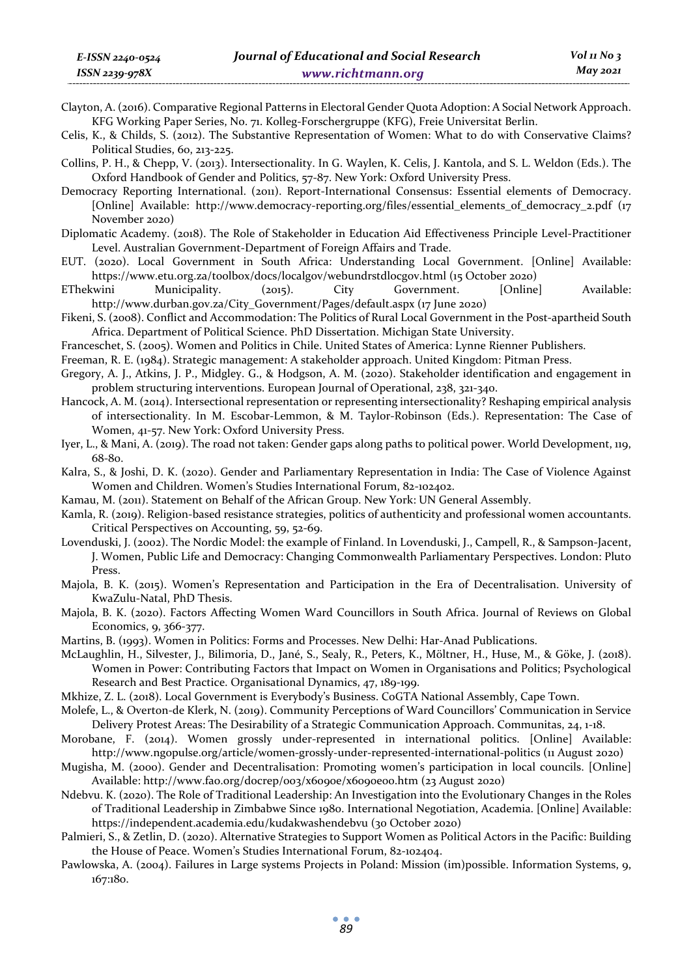Clayton, A. (2016). Comparative Regional Patterns in Electoral Gender Quota Adoption: A Social Network Approach. KFG Working Paper Series, No. 71. Kolleg-Forschergruppe (KFG), Freie Universitat Berlin.

Celis, K., & Childs, S. (2012). The Substantive Representation of Women: What to do with Conservative Claims? Political Studies, 60, 213-225.

Collins, P. H., & Chepp, V. (2013). Intersectionality. In G. Waylen, K. Celis, J. Kantola, and S. L. Weldon (Eds.). The Oxford Handbook of Gender and Politics, 57-87. New York: Oxford University Press.

Democracy Reporting International. (2011). Report-International Consensus: Essential elements of Democracy. [Online] Available: http://www.democracy-reporting.org/files/essential\_elements\_of\_democracy\_2.pdf (17 November 2020)

Diplomatic Academy. (2018). The Role of Stakeholder in Education Aid Effectiveness Principle Level-Practitioner Level. Australian Government-Department of Foreign Affairs and Trade.

EUT. (2020). Local Government in South Africa: Understanding Local Government. [Online] Available: https://www.etu.org.za/toolbox/docs/localgov/webundrstdlocgov.html (15 October 2020)

EThekwini Municipality. (2015). City Government. [Online] Available: http://www.durban.gov.za/City\_Government/Pages/default.aspx (17 June 2020)

Fikeni, S. (2008). Conflict and Accommodation: The Politics of Rural Local Government in the Post-apartheid South Africa. Department of Political Science. PhD Dissertation. Michigan State University.

Franceschet, S. (2005). Women and Politics in Chile. United States of America: Lynne Rienner Publishers.

Freeman, R. E. (1984). Strategic management: A stakeholder approach. United Kingdom: Pitman Press.

- Gregory, A. J., Atkins, J. P., Midgley. G., & Hodgson, A. M. (2020). Stakeholder identification and engagement in problem structuring interventions. European Journal of Operational, 238, 321-340.
- Hancock, A. M. (2014). Intersectional representation or representing intersectionality? Reshaping empirical analysis of intersectionality. In M. Escobar-Lemmon, & M. Taylor-Robinson (Eds.). Representation: The Case of Women, 41-57. New York: Oxford University Press.

Iyer, L., & Mani, A. (2019). The road not taken: Gender gaps along paths to political power. World Development, 119, 68-80.

Kalra, S., & Joshi, D. K. (2020). Gender and Parliamentary Representation in India: The Case of Violence Against Women and Children. Women's Studies International Forum, 82-102402.

Kamau, M. (2011). Statement on Behalf of the African Group. New York: UN General Assembly.

Kamla, R. (2019). Religion-based resistance strategies, politics of authenticity and professional women accountants. Critical Perspectives on Accounting, 59, 52-69.

Lovenduski, J. (2002). The Nordic Model: the example of Finland. In Lovenduski, J., Campell, R., & Sampson-Jacent, J. Women, Public Life and Democracy: Changing Commonwealth Parliamentary Perspectives. London: Pluto Press.

Majola, B. K. (2015). Women's Representation and Participation in the Era of Decentralisation. University of KwaZulu-Natal, PhD Thesis.

Majola, B. K. (2020). Factors Affecting Women Ward Councillors in South Africa. Journal of Reviews on Global Economics, 9, 366-377.

Martins, B. (1993). Women in Politics: Forms and Processes. New Delhi: Har-Anad Publications.

McLaughlin, H., Silvester, J., Bilimoria, D., Jané, S., Sealy, R., Peters, K., Möltner, H., Huse, M., & Göke, J. (2018). Women in Power: Contributing Factors that Impact on Women in Organisations and Politics; Psychological Research and Best Practice. Organisational Dynamics, 47, 189-199.

Mkhize, Z. L. (2018). Local Government is Everybody's Business. CoGTA National Assembly, Cape Town.

Molefe, L., & Overton-de Klerk, N. (2019). Community Perceptions of Ward Councillors' Communication in Service Delivery Protest Areas: The Desirability of a Strategic Communication Approach. Communitas, 24, 1-18.

Morobane, F. (2014). Women grossly under-represented in international politics. [Online] Available: http://www.ngopulse.org/article/women-grossly-under-represented-international-politics (11 August 2020)

Mugisha, M. (2000). Gender and Decentralisation: Promoting women's participation in local councils. [Online] Available: http://www.fao.org/docrep/003/x6090e/x6090e00.htm (23 August 2020)

Ndebvu. K. (2020). The Role of Traditional Leadership: An Investigation into the Evolutionary Changes in the Roles of Traditional Leadership in Zimbabwe Since 1980. International Negotiation, Academia. [Online] Available: https://independent.academia.edu/kudakwashendebvu (30 October 2020)

Palmieri, S., & Zetlin, D. (2020). Alternative Strategies to Support Women as Political Actors in the Pacific: Building the House of Peace. Women's Studies International Forum, 82-102404.

Pawlowska, A. (2004). Failures in Large systems Projects in Poland: Mission (im)possible. Information Systems, 9, 167:180.